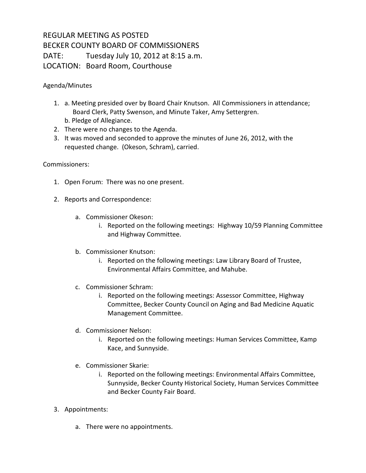## REGULAR MEETING AS POSTED BECKER COUNTY BOARD OF COMMISSIONERS DATE: Tuesday July 10, 2012 at 8:15 a.m. LOCATION: Board Room, Courthouse

Agenda/Minutes

- 1. a. Meeting presided over by Board Chair Knutson. All Commissioners in attendance; Board Clerk, Patty Swenson, and Minute Taker, Amy Settergren. b. Pledge of Allegiance.
- 2. There were no changes to the Agenda.
- 3. It was moved and seconded to approve the minutes of June 26, 2012, with the requested change. (Okeson, Schram), carried.

Commissioners:

- 1. Open Forum: There was no one present.
- 2. Reports and Correspondence:
	- a. Commissioner Okeson:
		- i. Reported on the following meetings: Highway 10/59 Planning Committee and Highway Committee.
	- b. Commissioner Knutson:
		- i. Reported on the following meetings: Law Library Board of Trustee, Environmental Affairs Committee, and Mahube.
	- c. Commissioner Schram:
		- i. Reported on the following meetings: Assessor Committee, Highway Committee, Becker County Council on Aging and Bad Medicine Aquatic Management Committee.
	- d. Commissioner Nelson:
		- i. Reported on the following meetings: Human Services Committee, Kamp Kace, and Sunnyside.
	- e. Commissioner Skarie:
		- i. Reported on the following meetings: Environmental Affairs Committee, Sunnyside, Becker County Historical Society, Human Services Committee and Becker County Fair Board.
- 3. Appointments:
	- a. There were no appointments.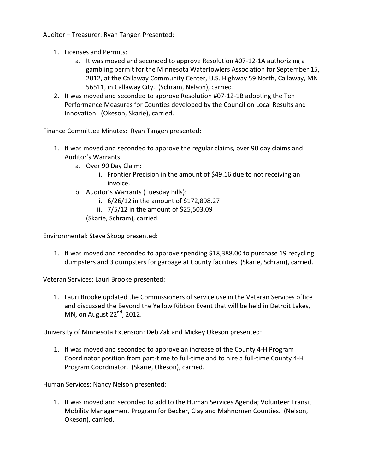Auditor – Treasurer: Ryan Tangen Presented:

- 1. Licenses and Permits:
	- a. It was moved and seconded to approve Resolution #07-12-1A authorizing a gambling permit for the Minnesota Waterfowlers Association for September 15, 2012, at the Callaway Community Center, U.S. Highway 59 North, Callaway, MN 56511, in Callaway City. (Schram, Nelson), carried.
- 2. It was moved and seconded to approve Resolution #07-12-1B adopting the Ten Performance Measures for Counties developed by the Council on Local Results and Innovation. (Okeson, Skarie), carried.

Finance Committee Minutes: Ryan Tangen presented:

- 1. It was moved and seconded to approve the regular claims, over 90 day claims and Auditor's Warrants:
	- a. Over 90 Day Claim:
		- i. Frontier Precision in the amount of \$49.16 due to not receiving an invoice.
	- b. Auditor's Warrants (Tuesday Bills):
		- i. 6/26/12 in the amount of \$172,898.27
		- ii. 7/5/12 in the amount of \$25,503.09
		- (Skarie, Schram), carried.

Environmental: Steve Skoog presented:

1. It was moved and seconded to approve spending \$18,388.00 to purchase 19 recycling dumpsters and 3 dumpsters for garbage at County facilities. (Skarie, Schram), carried.

Veteran Services: Lauri Brooke presented:

1. Lauri Brooke updated the Commissioners of service use in the Veteran Services office and discussed the Beyond the Yellow Ribbon Event that will be held in Detroit Lakes, MN, on August  $22<sup>nd</sup>$ , 2012.

University of Minnesota Extension: Deb Zak and Mickey Okeson presented:

1. It was moved and seconded to approve an increase of the County 4-H Program Coordinator position from part-time to full-time and to hire a full-time County 4-H Program Coordinator. (Skarie, Okeson), carried.

Human Services: Nancy Nelson presented:

1. It was moved and seconded to add to the Human Services Agenda; Volunteer Transit Mobility Management Program for Becker, Clay and Mahnomen Counties. (Nelson, Okeson), carried.